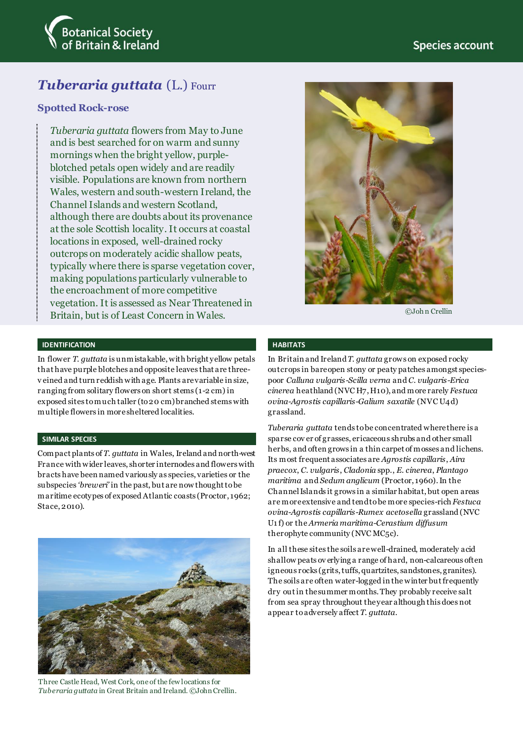

# *Tuberaria guttata* (L.) Fourr

## **Spotted Rock-rose**

*Tuberaria guttata* flowers from May to June and is best searched for on warm and sunny mornings when the bright yellow, purpleblotched petals open widely and are readily visible. Populations are known from northern Wales, western and south-western Ireland, the Channel Islands and western Scotland, although there are doubts about its provenance at the sole Scottish locality. It occurs at coastal locations in exposed, well-drained rocky outcrops on moderately acidic shallow peats, typically where there is sparse vegetation cover, making populations particularly vulnerable to the encroachment of more competitive vegetation. It is assessed as Near Threatened in Britain, but is of Least Concern in Wales.

## **IDENTIFICATION**

In flower *T. guttata* is unmistakable, with bright yellow petals that have purple blotches and opposite leaves that are threev eined and turn reddish with age. Plants are variable in size, ranging from solitary flowers on short stems (1-2 cm) in exposed sites to much taller (to 20 cm) branched stems with multiple flowers in more sheltered localities.

### **SIMILAR SPECIES**

Compact plants of *T. guttata* in Wales, Ireland and north-west France with wider leaves, shorter internodes and flowers with bracts have been named variously as species, varieties or the subspecies *'breweri'* in the past, but are now thought to be maritime ecotypes of exposed Atlantic coasts (Proctor, 1962; Stace, 2010).



Three Castle Head, West Cork, one of the few locations for *Tuberaria guttata* in Great Britain and Ireland. ©John Crellin.



©Joh n Crellin

## **HABITATS**

In Britain and Ireland *T. guttata* grows on exposed rocky outcrops in bare open stony or peaty patches amongst speciespoor *Calluna vulgaris-Scilla verna* and *C. vulgaris-Erica cinerea* heathland (NVC H7, H10), and more rarely *Festuca ovina-Agrostis capillaris-Galium saxatile* (NVC U4d) grassland.

*Tuberaria guttata* tends to be concentrated where there is a sparse cov er of grasses, ericaceous shrubs and other small herbs, and often grows in a thin carpet of mosses and lichens. Its most frequent associates are *Agrostis capillaris*, *Aira praecox*, *C. vulgaris*, *Cladonia* spp., *E. cinerea*, *Plantago maritima* and *Sedum anglicum* (Proctor, 1960). In the Channel Islands it grows in a similar habitat, but open areas are more extensive and tend to be more species-rich *Festuca ovina-Agrostis capillaris-Rumex acetosella* grassland (NVC U1 f) or the *Armeria maritima-Cerastium diffusum* therophyte community (NVC MC5c).

In all these sites the soils arewell-drained, moderately acid shallow peats ov erlying a range of hard, non-calcareous often igneous rocks (grits, tuffs, quartzites, sandstones, granites). The soils are often water-logged in the winter but frequently dry out in the summer months. They probably receive salt from sea spray throughout the year although this does not appear to adversely affect *T. guttata*.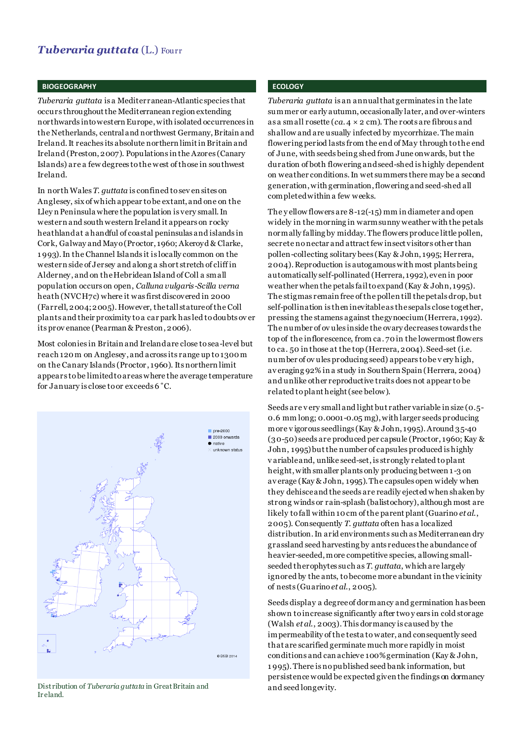## *Tuberaria guttata* (L.) Fourr

### **BIOGEOGRAPHY**

*Tuberaria guttata* is a Mediterranean-Atlantic species that occurs throughout the Mediterranean region extending northwards into western Europe,with isolated occurrences in the Netherlands, central and northwest Germany, Britain and Ireland. It reaches its absolute northern limit in Britain and Ireland (Preston, 2007). Populations in the Azores (Canary Islands) are a few degrees to the west of those in southwest Ireland.

In north Wales *T. guttata* is confined to sev en sites on Anglesey, six of which appear to be extant, and one on the Lley n Peninsula where the population is very small. In western and south western Ireland it appears on rocky heathland at a handful of coastal peninsulas and islands in Cork, Galway and Mayo (Proctor, 1960; Akeroyd & Clarke, 1 993). In the Channel Islands it is locally common on the western side of Jersey and along a short stretch of cliff in Alderney, and on the Hebridean Island of Coll a small population occurs on open, *Calluna vulgaris-Scilla verna* heath (NVC H7c) where it was first discovered in 2000 (Farrell, 2004;2005). However, the tall stature of the Coll plants and their proximity to a car park has led to doubts ov er its prov enance (Pearman & Preston, 2006).

Most colonies in Britain and Irelandare close to sea-level but reach 120 m on Anglesey, and across its range up to 1300 m on the Canary Islands (Proctor , 1960). Its northern limit appears to be limited to areas where the average temperature for January is close to or exceeds 6˚C.



Distribution of *Tuberaria guttata* in Great Britain and search and seed longevity. Ir eland.

## **ECOLOGY**

*Tuberaria guttata* is an annual that germinates in the late summer or early autumn, occasionally later, and over-winters as a small rosette (*ca*. 4 × 2 cm). The roots are fibrous and shallow and are usually infected by mycorrhizae. The main flowering period lasts from the end of May through to the end of June, with seeds being shed from June onwards, but the duration of both flowering and seed-shed is highly dependent on weather conditions. In wet summers there may be a second generation, with germination, flowering and seed-shed all completed within a few weeks.

The y ellow flowers are 8-12(-15) mm in diameter and open widely in the morning in warm sunny weather with the petals normally falling by midday. The flowers produce little pollen, secrete no nectar and attract few insect visitors other than pollen-collecting solitary bees (Kay & John, 1995; Herrera, 2004). Reproduction is autogamous with most plants being automatically self-pollinated (Herrera, 1992), even in poor weather when the petals fail to expand (Kay & John, 1995). The stigmas remain free of the pollen till the petals drop, but self-pollination is then inevitable as the sepals close together, pressing the stamens against the gynoecium (Herrera, 1992). The number of ov ules inside the ovary decreases towards the top of the inflorescence, from ca. 70 in the lowermost flowers to ca. 50 in those at the top (Herrera, 2004). Seed-set (i.e. number of ov ules producing seed) appears to be v ery high, av eraging 92% in a study in Southern Spain (Herrera, 2004) and unlike other reproductive traits does not appear to be related to plant height (see below).

Seeds are v ery small and light but rather variable in size (0.5- 0.6 mm long; 0.0001-0.05 mg), with larger seeds producing more v igorous seedlings (Kay & John, 1995). Around 35-40 (30-50) seeds are produced per capsule (Proctor, 1960; Kay & John, 1995) but the number of capsules produced is highly v ariable and, unlike seed-set, is strongly related to plant height, with smaller plants only producing between 1 -3 on av erage (Kay & John, 1995). The capsules open widely when they dehisce and the seeds are readily ejected when shaken by strong winds or rain-splash (balistochory), although most are likely to fall within 10 cm of the parent plant (Guarino *et al*., 2005). Consequently *T. guttata* often has a localized distribution. In arid environments such as Mediterranean dry grassland seed harvesting by ants reduces the abundance of heavier-seeded,more competitive species, allowing smallseeded therophytes such as *T. guttata*, which are largely ignored by the ants, to become more abundant in the vicinity of nests (Guarino *et al*., 2005).

Seeds display a degree of dormancy and germination has been shown to increase significantly after two y ears in cold storage (Walsh *et al*., 2003). This dormancy is caused by the impermeability of the testa to water, and consequently seed that are scarified germinate much more rapidly in moist conditions and can achieve 100% germination (Kay & John, 1 995). There is no published seed bank information, but persistence would be expected given the findings on dormancy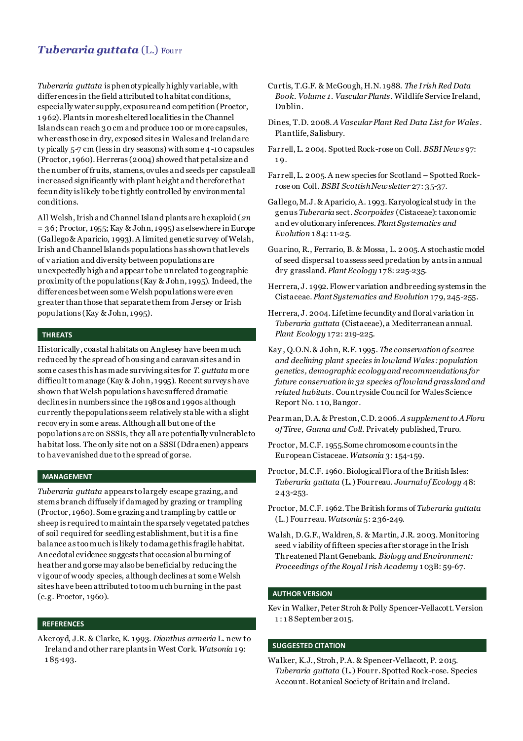## *Tuberaria guttata* (L.) Fourr

*Tuberaria guttata* is phenotypically highly variable,with differences in the field attributed to habitat conditions, especially water supply, exposure and competition (Proctor, 1 962). Plants in more sheltered localities in the Channel Islands can reach 30 cm and produce 100 or more capsules, whereas those in dry, exposed sites in Wales and Ireland are ty pically 5-7 cm (less in dry seasons) with some 4-10 capsules (Proctor, 1960). Herreras (2004) showed that petal size and the number of fruits, stamens, ovules and seeds per capsule all increased significantly with plant height and therefore that fecundity is likely to be tightly controlled by environmental conditions.

All Welsh, Irish and Channel Island plants are hexaploid (*2n*  $= 36$ ; Proctor, 1955; Kay & John, 1995) as elsewhere in Europe (Gallego & Aparicio, 1993). A limited genetic survey of Welsh, Irish and Channel Islands populations has shown that levels of v ariation and diversity between populations are unexpectedly high and appear to be unrelated to geographic proximity of the populations (Kay & John, 1995). Indeed,the differences between some Welsh populations were even greater than those that separate them from Jersey or Irish populations (Kay & John, 1995).

## **THREATS**

Historically, coastal habitats on Anglesey have been much reduced by the spread of housing and caravan sites and in some cases this has made surviving sites for *T. guttata* more difficult to manage (Kay & John, 1995). Recent surveys have shown that Welsh populations have suffered dramatic declines in numbers since the 1980s and 1990s although currently the populations seem relatively stable with a slight recov ery in some areas. Although all but one of the populations are on SSSIs, they all are potentially vulnerable to habitat loss. The only site not on a SSSI (Ddraenen) appears to have vanished due to the spread of gorse.

## **MANAGEMENT**

*Tuberaria guttata* appears to largely escape grazing, and stems branch diffusely if damaged by grazing or trampling (Proctor, 1960). Some grazing and trampling by cattle or sheep is required to maintain the sparsely vegetated patches of soil required for seedling establishment, but it is a fine balance as too much is likely to damage this fragile habitat. Anecdotal evidence suggests that occasional burning of heather and gorse may also be beneficial by reducing the v igour of woody species, although declines at some Welsh sites have been attributed to too much burning in the past (e.g. Proctor, 1960).

### **REFERENCES**

Akeroyd, J.R. & Clarke, K. 1993*. Dianthus armeria* L. new to Ireland and other rare plants in West Cork. *Watsonia* 1 9: 1 85-193.

- Curtis, T.G.F. & McGough, H.N. 1988. *The Irish Red Data Book. Volume 1. Vascular Plants*. Wildlife Service Ireland, Dublin.
- Dines, T.D. 2008. *A Vascular Plant Red Data List for Wales* . Plantlife, Salisbury.
- Farrell, L. 2004. Spotted Rock-rose on Coll. *BSBI News* 97: 1 9.
- Farrell, L. 2005. A new species for Scotland Spotted Rockrose on Coll. *BSBI Scottish Newsletter* 27: 35-37.
- Gallego, M.J. & Aparicio, A. 1993. Karyological study in the genus *Tuberaria* sect. *Scorpoides* (Cistaceae): taxonomic and ev olutionary inferences. *Plant Systematics and Evolution* 1 84: 11-25.
- Guarino, R., Ferrario, B. & Mossa, L. 2005. A stochastic model of seed dispersal to assess seed predation by ants in annual dry grassland. *Plant Ecology* 178: 225-235.
- Herrera, J. 1992. Flower variation and breeding systems in the Cistaceae. *Plant Systematics and Evolution* 179, 245-255.
- Herrera, J. 2004. Lifetime fecundity and floral variation in *Tuberaria guttata* (Cistaceae), a Mediterranean annual. *Plant Ecology* 172: 219-225.
- Kay , Q.O.N. & John, R.F. 1995. *The conservation of scarce and declining plant species in lowland Wales: population genetics, demographic ecology and recommendations for future conservation in 32 species of lowland grassland and related habitats*. Countryside Council for Wales Science Report No. 1 10, Bangor.
- Pearman, D.A. & Preston, C.D. 2006. *A supplement to A Flora of Tiree, Gunna and Coll*. Privately published, Truro.
- Proctor, M.C.F. 1955.Some chromosome counts in the European Cistaceae. *Watsonia* 3: 154-159.
- Proctor, M.C.F. 1960. Biological Flora of the British Isles: *Tuberaria guttata* (L.) Fourreau. *Journal of Ecology* 48: 243-253.
- Proctor, M.C.F. 1962. The British forms of *Tuberaria guttata* (L.) Fourreau. *Watsonia* 5: 236-249.
- Walsh, D.G.F., Waldren, S. & Martin, J.R. 2003. Monitoring seed v iability of fifteen species after storage in the Irish Threatened Plant Genebank. *Biology and Environment: Proceedings of the Royal Irish Academy* 1 03B: 59-67.

### **AUTHOR VERSION**

Kev in Walker, Peter Stroh & Polly Spencer-Vellacott. Version 1 : 1 8 September 2015.

### **SUGGESTED CITATION**

Walker, K.J., Stroh, P.A. & Spencer-Vellacott, P. 2015. *Tuberaria guttata* (L.) Fourr. Spotted Rock-rose. Species Account. Botanical Society of Britain and Ireland.